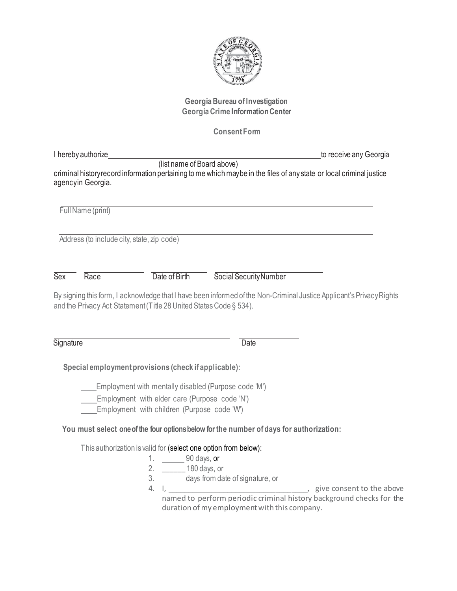

## **Georgia Bureau of Investigation Georgia Crime InformationCenter**

# **Consent Form**

| I hereby authorize |                                                                                              |                                                                                         | to receive any Georgia                                                                                               |
|--------------------|----------------------------------------------------------------------------------------------|-----------------------------------------------------------------------------------------|----------------------------------------------------------------------------------------------------------------------|
| agencyin Georgia.  | (list name of Board above)                                                                   |                                                                                         | criminal history record information pertaining to me which maybe in the files of any state or local criminal justice |
| Full Name (print)  |                                                                                              |                                                                                         |                                                                                                                      |
|                    | Address (to include city, state, zip code)                                                   |                                                                                         |                                                                                                                      |
| <b>Sex</b><br>Race | Date of Birth                                                                                | Social Security Number                                                                  |                                                                                                                      |
|                    | and the Privacy Act Statement (Title 28 United States Code § 534).                           |                                                                                         | By signing this form, I acknowledge that I have been informed of the Non-Criminal Justice Applicant's Privacy Rights |
| Signature          |                                                                                              | <b>Date</b>                                                                             |                                                                                                                      |
|                    | Special employment provisions (check if applicable):                                         |                                                                                         |                                                                                                                      |
|                    | Employment with mentally disabled (Purpose code 'M')                                         |                                                                                         |                                                                                                                      |
|                    | Employment with elder care (Purpose code 'N')<br>Employment with children (Purpose code 'W') |                                                                                         |                                                                                                                      |
|                    |                                                                                              | You must select one of the four options below for the number of days for authorization: |                                                                                                                      |
|                    | This authorization is valid for (select one option from below):                              |                                                                                         |                                                                                                                      |
|                    | 1. 90 days, or                                                                               |                                                                                         |                                                                                                                      |
|                    | 2. _______ 180 days, or                                                                      |                                                                                         |                                                                                                                      |
|                    |                                                                                              | 3. ________ days from date of signature, or                                             |                                                                                                                      |
|                    |                                                                                              |                                                                                         | named to perform periodic criminal history background checks for the                                                 |

duration of my employment with this company.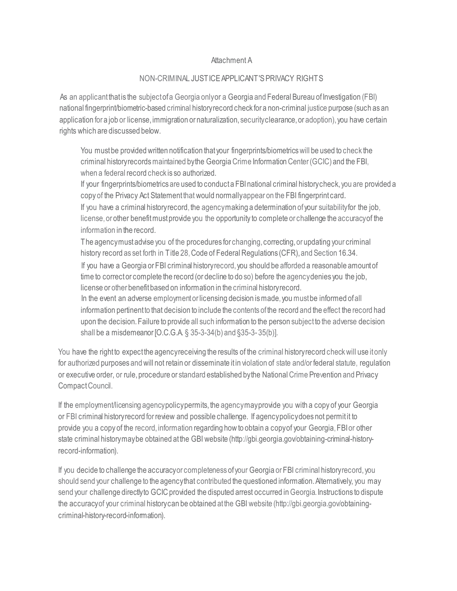#### Attachment A

### NON-CRIMINAL JUSTICEAPPLICANT'SPRIVACY RIGHTS

As an applicant that is the subject of a Georgia only or a Georgia and Federal Bureau of Investigation (FBI) national fingerprint/biometric-based criminal history record check for a non-criminal justice purpose (such as an application for a job or license, immigration or naturalization, security clearance, or adoption), you have certain rights which are discussed below.

You mustbe providedwritten notification that your fingerprints/biometricswill be used to check the criminal history recordsmaintained by the GeorgiaCrime Information Center(GCIC) and the FBI, when a federal record check is so authorized.

If your fingerprints/biometrics are used to conduct a FBI national criminal history check, you are provided a copy of the Privacy Act Statement that would normallyappear on the FBI fingerprint card. If you have a criminal history record, the agencymaking a determination of your suitabilityfor the job, license, or other benefit must provide you the opportunity to complete or challenge the accuracy of the information in the record.

The agencymustadvise you of the procedures for changing, correcting, or updating your criminal history record as set forth in Title 28, Code of Federal Regulations (CFR), and Section 16.34. If you have a Georgia or FBI criminal historyrecord, you should be afforded a reasonable amount of time to correct or complete the record (or decline to do so) before the agency denies you the job, license or other benefitbased on information in the criminal historyrecord.

In the event an adverse employmentor licensing decision ismade, you must be informed ofall information pertinent to that decision to include the contents of the record and the effect the record had upon the decision. Failure to provide all such information to the person subject to the adverse decision shall be a misdemeanor [O.C.G.A. § 35-3-34(b) and §35-3- 35(b)].

You have the right to expect the agency receiving the results of the criminal history record check will use it only for authorized purposes and will not retain or disseminate itin violation of state and/or federal statute, regulation or executive order, or rule, procedure or standard established by the National Crime Prevention and Privacy CompactCouncil.

If the employment/licensing agency policy permits, the agency mayprovide you with a copy of your Georgia or FBI criminal history record for review and possible challenge. If agency policydoes not permitit to provide you a copy of the record, information regarding how to obtain a copy of your Georgia, FBIor other state criminal history may be obtained at the GBI web[site \(http://gbi.georgia.gov/obtaining-criminal-history](http://gbi.georgia.gov/obtaining-criminal-history-)record-information).

If you decide to challenge the accuracyor completeness of your Georgia or FBI criminal history record, you should send your challenge to the agency that contributed the questioned information. Alternatively, you may send your challenge directlyto GCIC provided the disputed arrest occurred in Georgia. Instructions to dispute the accuracyof your criminal historycan be obtained at the GBI webs[ite \(http://gbi.georgia.gov/obtaining](http://gbi.georgia.gov/obtaining-)criminal-history-record-information).